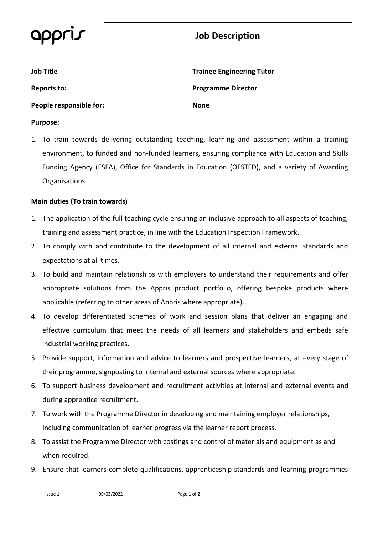# **Job Description**

| <b>Job Title</b>        | <b>Trainee Engineering Tutor</b> |
|-------------------------|----------------------------------|
| Reports to:             | <b>Programme Director</b>        |
| People responsible for: | None                             |
| <b>Purpose:</b>         |                                  |

1. To train towards delivering outstanding teaching, learning and assessment within a training environment, to funded and non-funded learners, ensuring compliance with Education and Skills Funding Agency (ESFA), Office for Standards in Education (OFSTED), and a variety of Awarding Organisations.

### **Main duties (To train towards**)

- 1. The application of the full teaching cycle ensuring an inclusive approach to all aspects of teaching, training and assessment practice, in line with the Education Inspection Framework.
- 2. To comply with and contribute to the development of all internal and external standards and expectations at all times.
- 3. To build and maintain relationships with employers to understand their requirements and offer appropriate solutions from the Appris product portfolio, offering bespoke products where applicable (referring to other areas of Appris where appropriate).
- 4. To develop differentiated schemes of work and session plans that deliver an engaging and effective curriculum that meet the needs of all learners and stakeholders and embeds safe industrial working practices.
- 5. Provide support, information and advice to learners and prospective learners, at every stage of their programme, signposting to internal and external sources where appropriate.
- 6. To support business development and recruitment activities at internal and external events and during apprentice recruitment.
- 7. To work with the Programme Director in developing and maintaining employer relationships, including communication of learner progress via the learner report process.
- 8. To assist the Programme Director with costings and control of materials and equipment as and when required.
- 9. Ensure that learners complete qualifications, apprenticeship standards and learning programmes